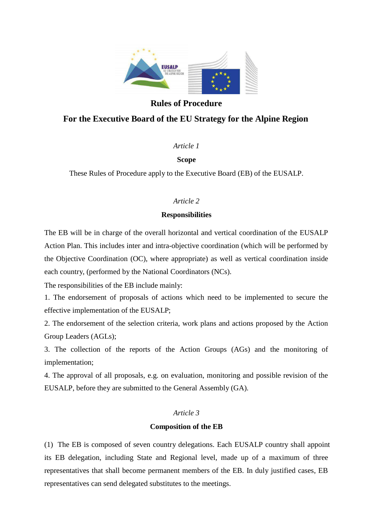

## **Rules of Procedure**

## **For the Executive Board of the EU Strategy for the Alpine Region**

## *Article 1*

## **Scope**

These Rules of Procedure apply to the Executive Board (EB) of the EUSALP.

## *Article 2*

## **Responsibilities**

The EB will be in charge of the overall horizontal and vertical coordination of the EUSALP Action Plan. This includes inter and intra-objective coordination (which will be performed by the Objective Coordination (OC), where appropriate) as well as vertical coordination inside each country, (performed by the National Coordinators (NCs).

The responsibilities of the EB include mainly:

1. The endorsement of proposals of actions which need to be implemented to secure the effective implementation of the EUSALP;

2. The endorsement of the selection criteria, work plans and actions proposed by the Action Group Leaders (AGLs);

3. The collection of the reports of the Action Groups (AGs) and the monitoring of implementation;

4. The approval of all proposals, e.g. on evaluation, monitoring and possible revision of the EUSALP, before they are submitted to the General Assembly (GA).

### *Article 3*

### **Composition of the EB**

(1) The EB is composed of seven country delegations. Each EUSALP country shall appoint its EB delegation, including State and Regional level, made up of a maximum of three representatives that shall become permanent members of the EB. In duly justified cases, EB representatives can send delegated substitutes to the meetings.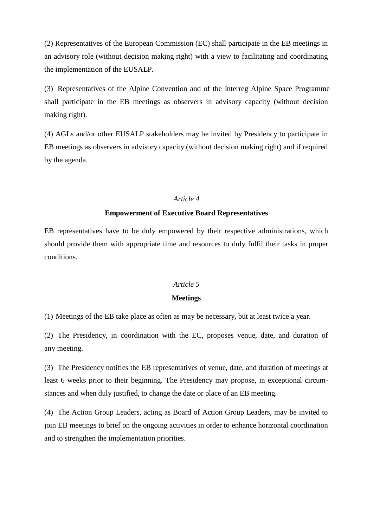(2) Representatives of the European Commission (EC) shall participate in the EB meetings in an advisory role (without decision making right) with a view to facilitating and coordinating the implementation of the EUSALP.

(3) Representatives of the Alpine Convention and of the Interreg Alpine Space Programme shall participate in the EB meetings as observers in advisory capacity (without decision making right).

(4) AGLs and/or other EUSALP stakeholders may be invited by Presidency to participate in EB meetings as observers in advisory capacity (without decision making right) and if required by the agenda.

### *Article 4*

### **Empowerment of Executive Board Representatives**

EB representatives have to be duly empowered by their respective administrations, which should provide them with appropriate time and resources to duly fulfil their tasks in proper conditions.

### *Article 5*

### **Meetings**

(1) Meetings of the EB take place as often as may be necessary, but at least twice a year.

(2) The Presidency, in coordination with the EC, proposes venue, date, and duration of any meeting.

(3) The Presidency notifies the EB representatives of venue, date, and duration of meetings at least 6 weeks prior to their beginning. The Presidency may propose, in exceptional circumstances and when duly justified, to change the date or place of an EB meeting.

(4) The Action Group Leaders, acting as Board of Action Group Leaders, may be invited to join EB meetings to brief on the ongoing activities in order to enhance horizontal coordination and to strengthen the implementation priorities.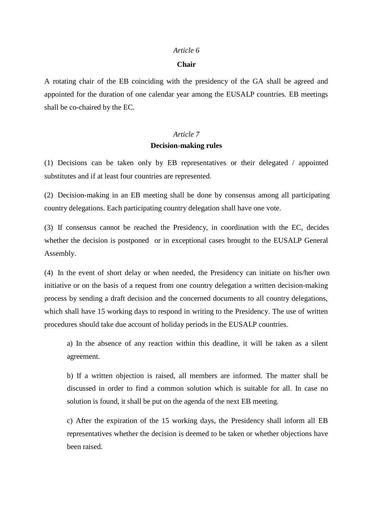#### *Article 6*

#### **Chair**

A rotating chair of the EB coinciding with the presidency of the GA shall be agreed and appointed for the duration of one calendar year among the EUSALP countries. EB meetings shall be co-chaired by the EC.

## *Article 7* **Decision-making rules**

(1) Decisions can be taken only by EB representatives or their delegated / appointed substitutes and if at least four countries are represented.

(2) Decision-making in an EB meeting shall be done by consensus among all participating country delegations. Each participating country delegation shall have one vote.

(3) If consensus cannot be reached the Presidency, in coordination with the EC, decides whether the decision is postponed or in exceptional cases brought to the EUSALP General Assembly.

(4) In the event of short delay or when needed, the Presidency can initiate on his/her own initiative or on the basis of a request from one country delegation a written decision-making process by sending a draft decision and the concerned documents to all country delegations, which shall have 15 working days to respond in writing to the Presidency. The use of written procedures should take due account of holiday periods in the EUSALP countries.

a) In the absence of any reaction within this deadline, it will be taken as a silent agreement.

b) If a written objection is raised, all members are informed. The matter shall be discussed in order to find a common solution which is suitable for all. In case no solution is found, it shall be put on the agenda of the next EB meeting.

c) After the expiration of the 15 working days, the Presidency shall inform all EB representatives whether the decision is deemed to be taken or whether objections have been raised.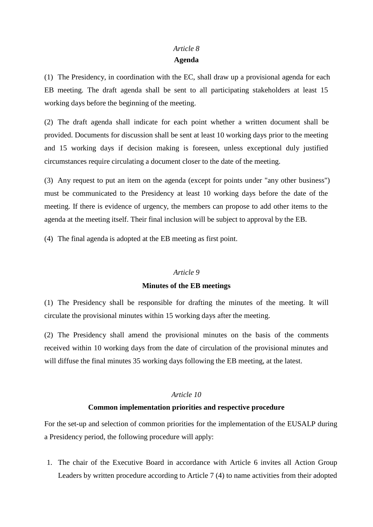# *Article 8*

## **Agenda**

(1) The Presidency, in coordination with the EC, shall draw up a provisional agenda for each EB meeting. The draft agenda shall be sent to all participating stakeholders at least 15 working days before the beginning of the meeting.

(2) The draft agenda shall indicate for each point whether a written document shall be provided. Documents for discussion shall be sent at least 10 working days prior to the meeting and 15 working days if decision making is foreseen, unless exceptional duly justified circumstances require circulating a document closer to the date of the meeting.

(3) Any request to put an item on the agenda (except for points under "any other business") must be communicated to the Presidency at least 10 working days before the date of the meeting. If there is evidence of urgency, the members can propose to add other items to the agenda at the meeting itself. Their final inclusion will be subject to approval by the EB.

(4) The final agenda is adopted at the EB meeting as first point.

## *Article 9*

### **Minutes of the EB meetings**

(1) The Presidency shall be responsible for drafting the minutes of the meeting. It will circulate the provisional minutes within 15 working days after the meeting.

(2) The Presidency shall amend the provisional minutes on the basis of the comments received within 10 working days from the date of circulation of the provisional minutes and will diffuse the final minutes 35 working days following the EB meeting, at the latest.

## *Article 10*

## **Common implementation priorities and respective procedure**

For the set-up and selection of common priorities for the implementation of the EUSALP during a Presidency period, the following procedure will apply:

1. The chair of the Executive Board in accordance with Article 6 invites all Action Group Leaders by written procedure according to Article 7 (4) to name activities from their adopted